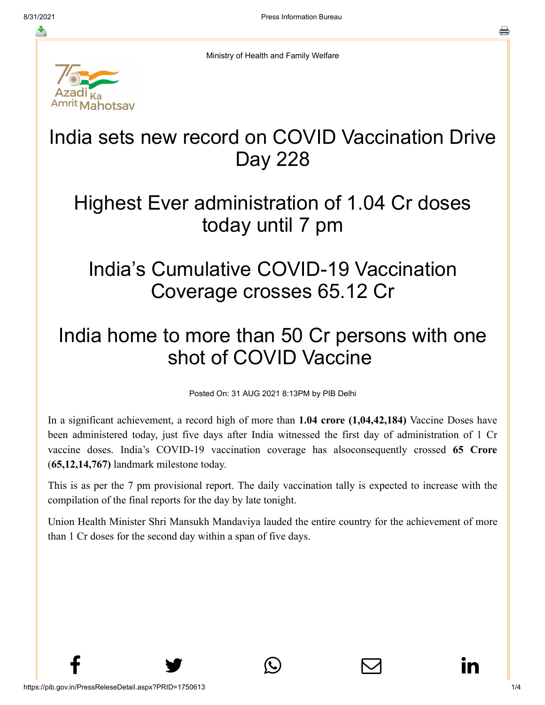≛

Ministry of Health and Family Welfare



# India sets new record on COVID Vaccination Drive Day 228

#### Highest Ever administration of 1.04 Cr doses today until 7 pm

## India's Cumulative COVID-19 Vaccination Coverage crosses 65.12 Cr

# India home to more than 50 Cr persons with one shot of COVID Vaccine

Posted On: 31 AUG 2021 8:13PM by PIB Delhi

In a significant achievement, a record high of more than **1.04 crore (1,04,42,184)** Vaccine Doses have been administered today, just five days after India witnessed the first day of administration of 1 Cr vaccine doses. India's COVID-19 vaccination coverage has alsoconsequently crossed **65 Crore** (**65,12,14,767)** landmark milestone today.

This is as per the 7 pm provisional report. The daily vaccination tally is expected to increase with the compilation of the final reports for the day by late tonight.

Union Health Minister Shri Mansukh Mandaviya lauded the entire country for the achievement of more than 1 Cr doses for the second day within a span of five days.

 $f$  y  $\circledcirc$   $\quad \circ$  in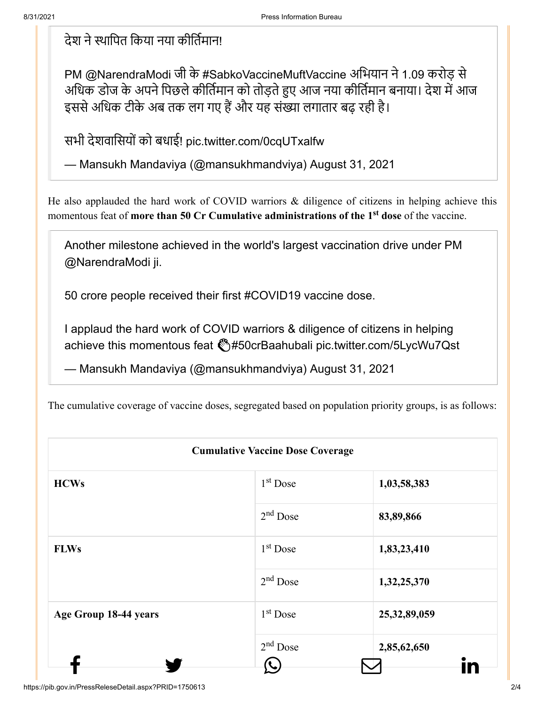#### देश ने स्थापित किया नया कीर्तिमान!

PM [@NarendraModi](https://twitter.com/narendramodi?ref_src=twsrc%5Etfw) जी के [#SabkoVaccineMuftVaccine](https://twitter.com/hashtag/SabkoVaccineMuftVaccine?src=hash&ref_src=twsrc%5Etfw) अभियान ने 1.09 करोड़ से अधिक डोज के अपने पिछले कीर्तिमान को तोड़ते हुए आज नया कीर्तिमान बनाया। देश में आज इससे अधिक टीके अब तक लग गए हैं और यह संख्या लगातार बढ़ रही है।

सभी देशवासियों को बधाई! [pic.twitter.com/0cqUTxalfw](https://t.co/0cqUTxalfw)

— Mansukh Mandaviya (@mansukhmandviya) [August 31, 2021](https://twitter.com/mansukhmandviya/status/1432686738770575361?ref_src=twsrc%5Etfw)

He also applauded the hard work of COVID warriors & diligence of citizens in helping achieve this momentous feat of **more than 50 Cr Cumulative administrations of the 1<sup>st</sup> dose** of the vaccine.

Another milestone achieved in the world's largest vaccination drive under PM [@NarendraModi](https://twitter.com/narendramodi?ref_src=twsrc%5Etfw) ji.

50 crore people received their first [#COVID19](https://twitter.com/hashtag/COVID19?src=hash&ref_src=twsrc%5Etfw) vaccine dose.

I applaud the hard work of COVID warriors & diligence of citizens in helping achieve this momentous feat \\$[#50crBaahubali](https://twitter.com/hashtag/50crBaahubali?src=hash&ref_src=twsrc%5Etfw) [pic.twitter.com/5LycWu7Qst](https://t.co/5LycWu7Qst)

— Mansukh Mandaviya (@mansukhmandviya) [August 31, 2021](https://twitter.com/mansukhmandviya/status/1432691652930387974?ref_src=twsrc%5Etfw)

The cumulative coverage of vaccine doses, segregated based on population priority groups, is as follows:

| <b>Cumulative Vaccine Dose Coverage</b> |                      |                 |  |  |
|-----------------------------------------|----------------------|-----------------|--|--|
| <b>HCWs</b>                             | $1st$ Dose           | 1,03,58,383     |  |  |
|                                         | $2nd$ Dose           | 83,89,866       |  |  |
| <b>FLWs</b>                             | 1 <sup>st</sup> Dose | 1,83,23,410     |  |  |
|                                         | $2nd$ Dose           | 1,32,25,370     |  |  |
| Age Group 18-44 years                   | 1 <sup>st</sup> Dose | 25, 32, 89, 059 |  |  |
|                                         | $2nd$ Dose           | 2,85,62,650     |  |  |
|                                         |                      | In              |  |  |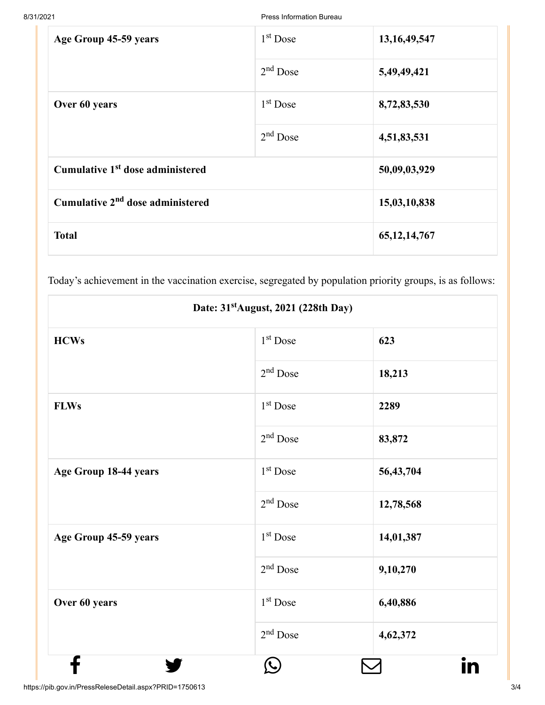8/31/2021 Press Information Bureau

| Age Group 45-59 years                        | 1 <sup>st</sup> Dose | 13, 16, 49, 547 |
|----------------------------------------------|----------------------|-----------------|
|                                              | $2nd$ Dose           | 5,49,49,421     |
| Over 60 years                                | $1st$ Dose           | 8,72,83,530     |
|                                              | $2nd$ Dose           | 4,51,83,531     |
| Cumulative 1 <sup>st</sup> dose administered |                      | 50,09,03,929    |
| Cumulative 2 <sup>nd</sup> dose administered |                      | 15,03,10,838    |
| <b>Total</b>                                 |                      | 65, 12, 14, 767 |

Today's achievement in the vaccination exercise, segregated by population priority groups, is as follows:

| Date: 31 <sup>st</sup> August, 2021 (228th Day) |                      |           |  |
|-------------------------------------------------|----------------------|-----------|--|
| <b>HCWs</b>                                     | $1st$ Dose           | 623       |  |
|                                                 | $2nd$ Dose           | 18,213    |  |
| <b>FLWs</b>                                     | $1st$ Dose           | 2289      |  |
|                                                 | $2nd$ Dose           | 83,872    |  |
| Age Group 18-44 years                           | 1 <sup>st</sup> Dose | 56,43,704 |  |
|                                                 | $2nd$ Dose           | 12,78,568 |  |
| Age Group 45-59 years                           | 1 <sup>st</sup> Dose | 14,01,387 |  |
|                                                 | $2nd$ Dose           | 9,10,270  |  |
| Over 60 years                                   | 1 <sup>st</sup> Dose | 6,40,886  |  |
|                                                 | 2 <sup>nd</sup> Dose | 4,62,372  |  |
|                                                 |                      | IN        |  |